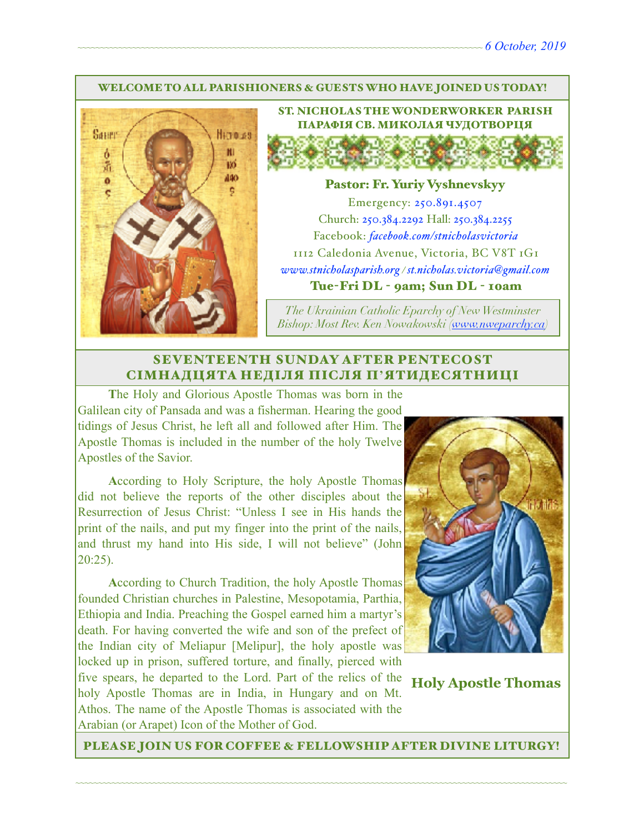#### WELCOME TO ALL PARISHIONERS & GUESTS WHO HAVE JOINED US TODAY!



ST. NICHOLAS THE WONDERWORKER PARISH ПАРАФІЯ СВ. МИКОЛАЯ ЧУДОТВОРЦЯ

#### Pastor: Fr. Yuriy Vyshnevskyy

Emergency: 250.891.4507 Church: 250.384.2292 Hall: 250.384.2255 Facebook: *[facebook.com/stnicholasvictoria](http://facebook.com/stnicholasvictoria)* 1112 Caledonia Avenue, Victoria, BC V8T 1G1 *[www.stnicholasparish.org](http://www.stnicholasparish.org) / [st.nicholas.victoria@gmail.com](mailto:st.nicholas.victoria@gmail.com)* Tue-Fri DL - 9am; Sun DL - 10am

*The Ukrainian Catholic Eparchy of New Westminster Bishop: Most Rev. Ken Nowakowski ([www.nweparchy.ca](http://www.nweparchy.ca))*

#### SEVENTEENTH SUNDAY AFTER PENTECOST СІМНАДЦЯТА НЕДІЛЯ ПІСЛЯ П**'**ЯТИДЕСЯТНИЦІ

**T**he Holy and Glorious Apostle Thomas was born in the Galilean city of Pansada and was a fisherman. Hearing the good tidings of Jesus Christ, he left all and followed after Him. The Apostle Thomas is included in the number of the holy Twelve Apostles of the Savior.

**A**ccording to Holy Scripture, the holy Apostle Thomas did not believe the reports of the other disciples about the Resurrection of Jesus Christ: "Unless I see in His hands the print of the nails, and put my finger into the print of the nails, and thrust my hand into His side, I will not believe" (John 20:25).

**A**ccording to Church Tradition, the holy Apostle Thomas founded Christian churches in Palestine, Mesopotamia, Parthia, Ethiopia and India. Preaching the Gospel earned him a martyr's death. For having converted the wife and son of the prefect of the Indian city of Meliapur [Melipur], the holy apostle was locked up in prison, suffered torture, and finally, pierced with five spears, he departed to the Lord. Part of the relics of the holy Apostle Thomas are in India, in Hungary and on Mt. Athos. The name of the Apostle Thomas is associated with the Arabian (or Arapet) Icon of the Mother of God.



**Holy Apostle Thomas**

PLEASE JOIN US FOR COFFEE & FELLOWSHIP AFTER DIVINE LITURGY!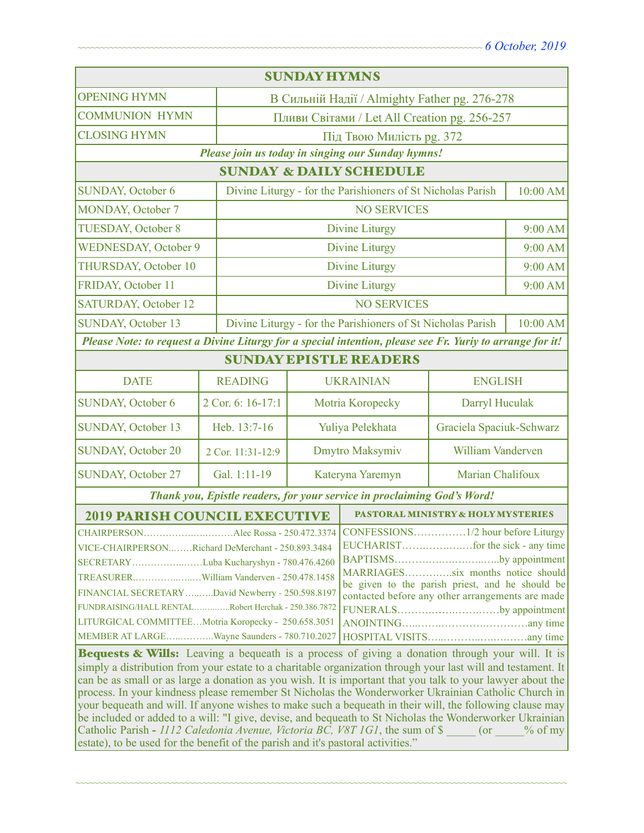| <b>SUNDAY HYMNS</b>                                                                                                                                                                                                                                                                                                                                                                                                                                                                                                                                                                                                                                                                                                                                                                                                                                                                                                                                                                                                                                                  |                                    |                                                                         |                                                   |                                               |          |  |  |
|----------------------------------------------------------------------------------------------------------------------------------------------------------------------------------------------------------------------------------------------------------------------------------------------------------------------------------------------------------------------------------------------------------------------------------------------------------------------------------------------------------------------------------------------------------------------------------------------------------------------------------------------------------------------------------------------------------------------------------------------------------------------------------------------------------------------------------------------------------------------------------------------------------------------------------------------------------------------------------------------------------------------------------------------------------------------|------------------------------------|-------------------------------------------------------------------------|---------------------------------------------------|-----------------------------------------------|----------|--|--|
| <b>OPENING HYMN</b>                                                                                                                                                                                                                                                                                                                                                                                                                                                                                                                                                                                                                                                                                                                                                                                                                                                                                                                                                                                                                                                  |                                    | В Сильній Надії / Almighty Father pg. 276-278                           |                                                   |                                               |          |  |  |
| <b>COMMUNION HYMN</b>                                                                                                                                                                                                                                                                                                                                                                                                                                                                                                                                                                                                                                                                                                                                                                                                                                                                                                                                                                                                                                                |                                    | Пливи Світами / Let All Creation pg. 256-257                            |                                                   |                                               |          |  |  |
| <b>CLOSING HYMN</b>                                                                                                                                                                                                                                                                                                                                                                                                                                                                                                                                                                                                                                                                                                                                                                                                                                                                                                                                                                                                                                                  |                                    | Під Твою Милість рд. 372                                                |                                                   |                                               |          |  |  |
|                                                                                                                                                                                                                                                                                                                                                                                                                                                                                                                                                                                                                                                                                                                                                                                                                                                                                                                                                                                                                                                                      |                                    |                                                                         | Please join us today in singing our Sunday hymns! |                                               |          |  |  |
|                                                                                                                                                                                                                                                                                                                                                                                                                                                                                                                                                                                                                                                                                                                                                                                                                                                                                                                                                                                                                                                                      | <b>SUNDAY &amp; DAILY SCHEDULE</b> |                                                                         |                                                   |                                               |          |  |  |
| SUNDAY, October 6                                                                                                                                                                                                                                                                                                                                                                                                                                                                                                                                                                                                                                                                                                                                                                                                                                                                                                                                                                                                                                                    |                                    | Divine Liturgy - for the Parishioners of St Nicholas Parish             |                                                   |                                               | 10:00 AM |  |  |
| <b>MONDAY, October 7</b>                                                                                                                                                                                                                                                                                                                                                                                                                                                                                                                                                                                                                                                                                                                                                                                                                                                                                                                                                                                                                                             |                                    | <b>NO SERVICES</b>                                                      |                                                   |                                               |          |  |  |
| <b>TUESDAY, October 8</b>                                                                                                                                                                                                                                                                                                                                                                                                                                                                                                                                                                                                                                                                                                                                                                                                                                                                                                                                                                                                                                            |                                    | <b>Divine Liturgy</b>                                                   |                                                   | 9:00 AM                                       |          |  |  |
| <b>WEDNESDAY, October 9</b>                                                                                                                                                                                                                                                                                                                                                                                                                                                                                                                                                                                                                                                                                                                                                                                                                                                                                                                                                                                                                                          |                                    | <b>Divine Liturgy</b>                                                   |                                                   | 9:00 AM                                       |          |  |  |
| THURSDAY, October 10                                                                                                                                                                                                                                                                                                                                                                                                                                                                                                                                                                                                                                                                                                                                                                                                                                                                                                                                                                                                                                                 |                                    | <b>Divine Liturgy</b>                                                   |                                                   | 9:00 AM                                       |          |  |  |
| FRIDAY, October 11                                                                                                                                                                                                                                                                                                                                                                                                                                                                                                                                                                                                                                                                                                                                                                                                                                                                                                                                                                                                                                                   |                                    | <b>Divine Liturgy</b>                                                   |                                                   | 9:00 AM                                       |          |  |  |
| <b>SATURDAY, October 12</b>                                                                                                                                                                                                                                                                                                                                                                                                                                                                                                                                                                                                                                                                                                                                                                                                                                                                                                                                                                                                                                          |                                    |                                                                         | <b>NO SERVICES</b>                                |                                               |          |  |  |
| SUNDAY, October 13                                                                                                                                                                                                                                                                                                                                                                                                                                                                                                                                                                                                                                                                                                                                                                                                                                                                                                                                                                                                                                                   |                                    | Divine Liturgy - for the Parishioners of St Nicholas Parish<br>10:00 AM |                                                   |                                               |          |  |  |
| Please Note: to request a Divine Liturgy for a special intention, please see Fr. Yuriy to arrange for it!                                                                                                                                                                                                                                                                                                                                                                                                                                                                                                                                                                                                                                                                                                                                                                                                                                                                                                                                                            |                                    |                                                                         |                                                   |                                               |          |  |  |
| <b>SUNDAY EPISTLE READERS</b>                                                                                                                                                                                                                                                                                                                                                                                                                                                                                                                                                                                                                                                                                                                                                                                                                                                                                                                                                                                                                                        |                                    |                                                                         |                                                   |                                               |          |  |  |
| <b>DATE</b>                                                                                                                                                                                                                                                                                                                                                                                                                                                                                                                                                                                                                                                                                                                                                                                                                                                                                                                                                                                                                                                          | <b>READING</b>                     |                                                                         | <b>UKRAINIAN</b>                                  | <b>ENGLISH</b>                                |          |  |  |
| <b>SUNDAY, October 6</b>                                                                                                                                                                                                                                                                                                                                                                                                                                                                                                                                                                                                                                                                                                                                                                                                                                                                                                                                                                                                                                             | 2 Cor. 6: 16-17:1                  |                                                                         | Motria Koropecky                                  | Darryl Huculak                                |          |  |  |
| <b>SUNDAY, October 13</b>                                                                                                                                                                                                                                                                                                                                                                                                                                                                                                                                                                                                                                                                                                                                                                                                                                                                                                                                                                                                                                            | Heb. 13:7-16                       |                                                                         | Graciela Spaciuk-Schwarz<br>Yuliya Pelekhata      |                                               |          |  |  |
| <b>SUNDAY, October 20</b>                                                                                                                                                                                                                                                                                                                                                                                                                                                                                                                                                                                                                                                                                                                                                                                                                                                                                                                                                                                                                                            | 2 Cor. 11:31-12:9                  |                                                                         | Dmytro Maksymiv<br>William Vanderven              |                                               |          |  |  |
| <b>SUNDAY, October 27</b>                                                                                                                                                                                                                                                                                                                                                                                                                                                                                                                                                                                                                                                                                                                                                                                                                                                                                                                                                                                                                                            | Gal. 1:11-19                       |                                                                         | Marian Chalifoux<br>Kateryna Yaremyn              |                                               |          |  |  |
| Thank you, Epistle readers, for your service in proclaiming God's Word!                                                                                                                                                                                                                                                                                                                                                                                                                                                                                                                                                                                                                                                                                                                                                                                                                                                                                                                                                                                              |                                    |                                                                         |                                                   |                                               |          |  |  |
| <b>2019 PARISH COUNCIL EXECUTIVE</b>                                                                                                                                                                                                                                                                                                                                                                                                                                                                                                                                                                                                                                                                                                                                                                                                                                                                                                                                                                                                                                 |                                    |                                                                         |                                                   | <b>PASTORAL MINISTRY &amp; HOLY MYSTERIES</b> |          |  |  |
| VICE-CHAIRPERSONRichard DeMerchant - 250.893.3484<br>BAPTISMSby appointment<br>SECRETARYLuba Kucharyshyn - 780.476.4260<br>MARRIAGESsix months notice should<br>be given to the parish priest, and he should be<br>FINANCIAL SECRETARYDavid Newberry - 250.598.8197<br>contacted before any other arrangements are made<br>FUNDRAISING/HALL RENTALRobert Herchak - 250.386.7872<br>FUNERALSby appointment<br>LITURGICAL COMMITTEEMotria Koropecky - 250.658.3051<br>MEMBER AT LARGEWayne Saunders - 780.710.2027<br>Bequests & Wills: Leaving a bequeath is a process of giving a donation through your will. It is<br>simply a distribution from your estate to a charitable organization through your last will and testament. It<br>can be as small or as large a donation as you wish. It is important that you talk to your lawyer about the<br>process. In your kindness please remember St Nicholas the Wonderworker Ukrainian Catholic Church in<br>your bequeath and will. If anyone wishes to make such a bequeath in their will, the following clause may |                                    |                                                                         |                                                   |                                               |          |  |  |
| be included or added to a will: "I give, devise, and bequeath to St Nicholas the Wonderworker Ukrainian<br>Catholic Parish - 1112 Caledonia Avenue, Victoria BC, V8T 1G1, the sum of \$<br>$($ or<br>$\%$ of my<br>estate), to be used for the benefit of the parish and it's pastoral activities."                                                                                                                                                                                                                                                                                                                                                                                                                                                                                                                                                                                                                                                                                                                                                                  |                                    |                                                                         |                                                   |                                               |          |  |  |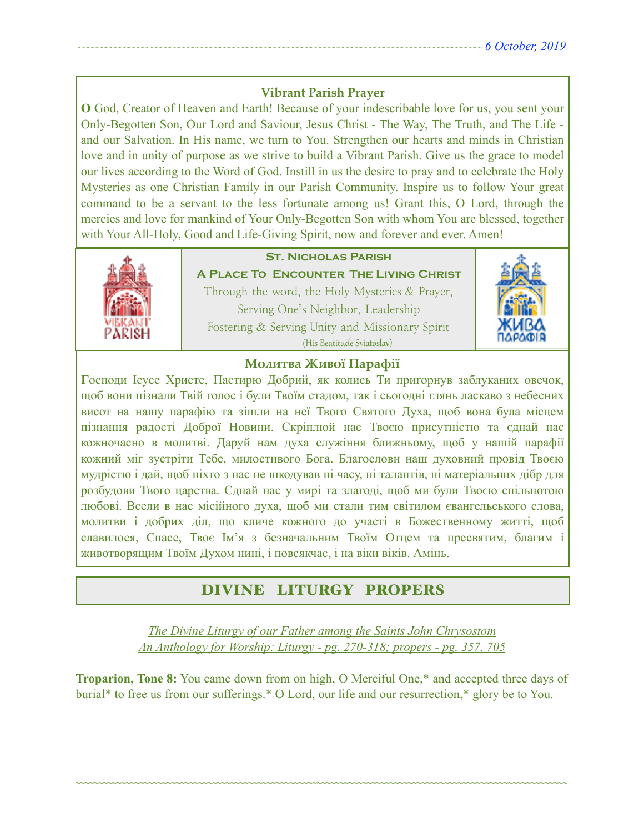## **Vibrant Parish Prayer**

**O** God, Creator of Heaven and Earth! Because of your indescribable love for us, you sent your Only-Begotten Son, Our Lord and Saviour, Jesus Christ - The Way, The Truth, and The Life and our Salvation. In His name, we turn to You. Strengthen our hearts and minds in Christian love and in unity of purpose as we strive to build a Vibrant Parish. Give us the grace to model our lives according to the Word of God. Instill in us the desire to pray and to celebrate the Holy Mysteries as one Christian Family in our Parish Community. Inspire us to follow Your great command to be a servant to the less fortunate among us! Grant this, O Lord, through the mercies and love for mankind of Your Only-Begotten Son with whom You are blessed, together with Your All-Holy, Good and Life-Giving Spirit, now and forever and ever. Amen!



## **St. Nicholas Parish**

**A Place To Encounter The Living Christ** Through the word, the Holy Mysteries & Prayer, Serving One's Neighbor, Leadership Fostering & Serving Unity and Missionary Spirit (His Beatitude Sviatoslav)



### **Молитва Живої Парафії**

**Г**осподи Ісусе Христе, Пастирю Добрий, як колись Ти пригорнув заблуканих овечок, щоб вони пізнали Твій голос і були Твоїм стадом, так і сьогодні глянь ласкаво з небесних висот на нашу парафію та зішли на неї Твого Святого Духа, щоб вона була місцем пізнання радості Доброї Новини. Скріплюй нас Твоєю присутністю та єднай нас кожночасно в молитві. Даруй нам духа служіння ближньому, щоб у нашій парафії кожний міг зустріти Тебе, милостивого Бога. Благослови наш духовний провід Твоєю мудрістю і дай, щоб ніхто з нас не шкодував ні часу, ні талантів, ні матеріальних дібр для розбудови Твого царства. Єднай нас у мирі та злагоді, щоб ми були Твоєю спільнотою любові. Всели в нас місійного духа, щоб ми стали тим світилом євангельського слова, молитви і добрих діл, що кличе кожного до участі в Божественному житті, щоб славилося, Спасе, Твоє Ім'я з безначальним Твоїм Отцем та пресвятим, благим і животворящим Твоїм Духом нині, і повсякчас, і на віки віків. Амінь.

# DIVINE LITURGY PROPERS

*The Divine Liturgy of our Father among the Saints John Chrysostom An Anthology for Worship: Liturgy - pg. 270-318; propers - pg. 357, 705* 

**Troparion, Tone 8:** You came down from on high, O Merciful One,\* and accepted three days of burial\* to free us from our sufferings.\* O Lord, our life and our resurrection,\* glory be to You.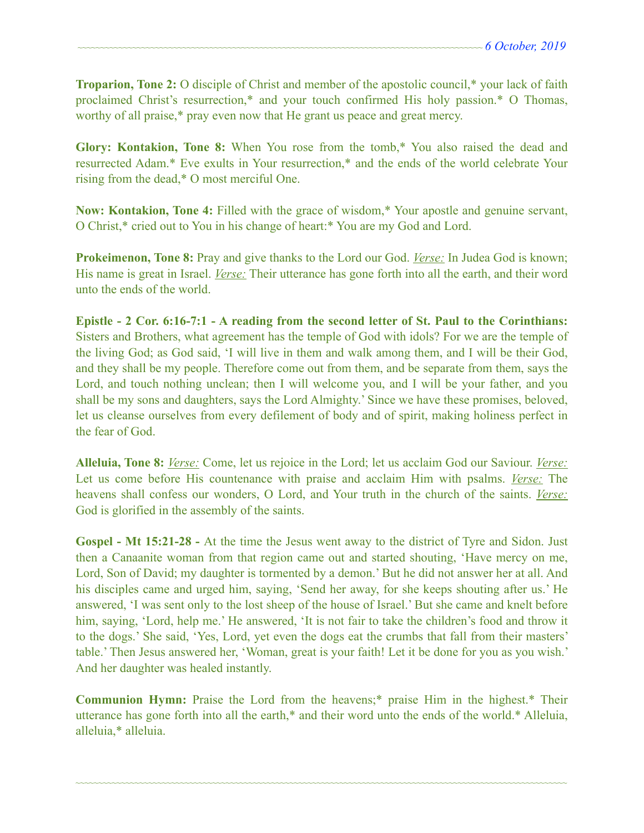**Troparion, Tone 2:** O disciple of Christ and member of the apostolic council,\* your lack of faith proclaimed Christ's resurrection,\* and your touch confirmed His holy passion.\* O Thomas, worthy of all praise,\* pray even now that He grant us peace and great mercy.

**Glory: Kontakion, Tone 8:** When You rose from the tomb,\* You also raised the dead and resurrected Adam.\* Eve exults in Your resurrection,\* and the ends of the world celebrate Your rising from the dead,\* O most merciful One.

**Now: Kontakion, Tone 4:** Filled with the grace of wisdom,\* Your apostle and genuine servant, O Christ,\* cried out to You in his change of heart:\* You are my God and Lord.

**Prokeimenon, Tone 8:** Pray and give thanks to the Lord our God. *Verse:* In Judea God is known; His name is great in Israel. *Verse:* Their utterance has gone forth into all the earth, and their word unto the ends of the world.

**Epistle - 2 Cor. 6:16-7:1 - A reading from the second letter of St. Paul to the Corinthians:**  Sisters and Brothers, what agreement has the temple of God with idols? For we are the temple of the living God; as God said, 'I will live in them and walk among them, and I will be their God, and they shall be my people. Therefore come out from them, and be separate from them, says the Lord, and touch nothing unclean; then I will welcome you, and I will be your father, and you shall be my sons and daughters, says the Lord Almighty.' Since we have these promises, beloved, let us cleanse ourselves from every defilement of body and of spirit, making holiness perfect in the fear of God.

**Alleluia, Tone 8:** *Verse:* Come, let us rejoice in the Lord; let us acclaim God our Saviour. *Verse:* Let us come before His countenance with praise and acclaim Him with psalms. *Verse:* The heavens shall confess our wonders, O Lord, and Your truth in the church of the saints. *Verse:* God is glorified in the assembly of the saints.

**Gospel - Mt 15:21-28 -** At the time the Jesus went away to the district of Tyre and Sidon. Just then a Canaanite woman from that region came out and started shouting, 'Have mercy on me, Lord, Son of David; my daughter is tormented by a demon.' But he did not answer her at all. And his disciples came and urged him, saying, 'Send her away, for she keeps shouting after us.' He answered, 'I was sent only to the lost sheep of the house of Israel.' But she came and knelt before him, saying, 'Lord, help me.' He answered, 'It is not fair to take the children's food and throw it to the dogs.' She said, 'Yes, Lord, yet even the dogs eat the crumbs that fall from their masters' table.' Then Jesus answered her, 'Woman, great is your faith! Let it be done for you as you wish.' And her daughter was healed instantly.

**Communion Hymn:** Praise the Lord from the heavens;\* praise Him in the highest.\* Their utterance has gone forth into all the earth,\* and their word unto the ends of the world.\* Alleluia, alleluia,\* alleluia.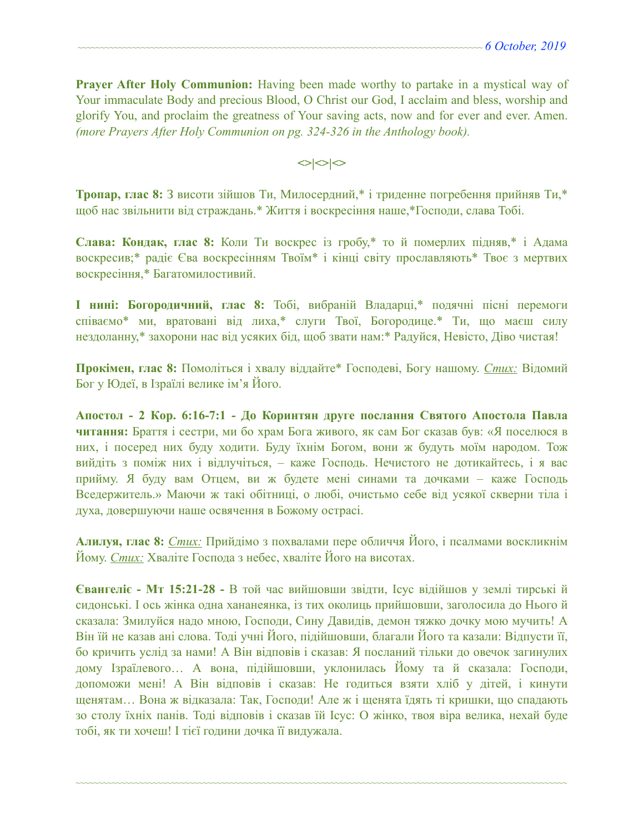**Prayer After Holy Communion:** Having been made worthy to partake in a mystical way of Your immaculate Body and precious Blood, O Christ our God, I acclaim and bless, worship and glorify You, and proclaim the greatness of Your saving acts, now and for ever and ever. Amen. *(more Prayers After Holy Communion on pg. 324-326 in the Anthology book).* 

 $\langle$ 

**Тропар, глас 8:** З висоти зійшов Ти, Милосердний,\* і триденне погребення прийняв Ти,\* щоб нас звільнити від страждань.\* Життя і воскресіння наше,\*Господи, слава Тобі.

**Слава: Кондак, глас 8:** Коли Ти воскрес із гробу,\* то й померлих підняв,\* і Адама воскресив;\* радіє Єва воскресінням Твоїм\* і кінці світу прославляють\* Твоє з мертвих воскресіння,\* Багатомилостивий.

**І нині: Богородичний, глас 8:** Тобі, вибраній Владарці,\* подячні пісні перемоги співаємо\* ми, вратовані від лиха,\* слуги Твої, Богородице.\* Ти, що маєш силу нездоланну,\* захорони нас від усяких бід, щоб звати нам:\* Радуйся, Невісто, Діво чистая!

**Прокімен, глас 8:** Помоліться і хвалу віддайте\* Господеві, Богу нашому. *Стих:* Відомий Бог у Юдеї, в Ізраїлі велике ім'я Його.

**Апостол - 2 Кoр. 6:16-7:1 - До Коринтян друге послання Святого Апостола Павла читання:** Браття і сестри, ми бо храм Бога живого, як сам Бог сказав був: «Я поселюся в них, і посеред них буду ходити. Буду їхнім Богом, вони ж будуть моїм народом. Тож вийдіть з поміж них і відлучіться, – каже Господь. Нечистого не дотикайтесь, і я вас прийму. Я буду вам Отцем, ви ж будете мені синами та дочками – каже Господь Вседержитель.» Маючи ж такі обітниці, о любі, очистьмо себе від усякої скверни тіла і духа, довершуючи наше освячення в Божому острасі.

**Алилуя, глас 8:** *Стих:* Прийдімо з похвалами пере обличчя Його, і псалмами воскликнім Йому. *Стих:* Хваліте Господа з небес, хваліте Його на висотах.

**Євангеліє - Мт 15:21-28 -** В той час вийшовши звідти, Ісус відійшов у землі тирські й сидонські. І ось жінка одна хананеянка, із тих околиць прийшовши, заголосила до Нього й сказала: Змилуйся надо мною, Господи, Сину Давидів, демон тяжко дочку мою мучить! А Він їй не казав ані слова. Тоді учні Його, підійшовши, благали Його та казали: Відпусти її, бо кричить услід за нами! А Він відповів і сказав: Я посланий тільки до овечок загинулих дому Ізраїлевого… А вона, підійшовши, уклонилась Йому та й сказала: Господи, допоможи мені! А Він відповів і сказав: Не годиться взяти хліб у дітей, і кинути щенятам… Вона ж відказала: Так, Господи! Але ж і щенята їдять ті кришки, що спадають зо столу їхніх панів. Тоді відповів і сказав їй Ісус: О жінко, твоя віра велика, нехай буде тобі, як ти хочеш! І тієї години дочка її видужала.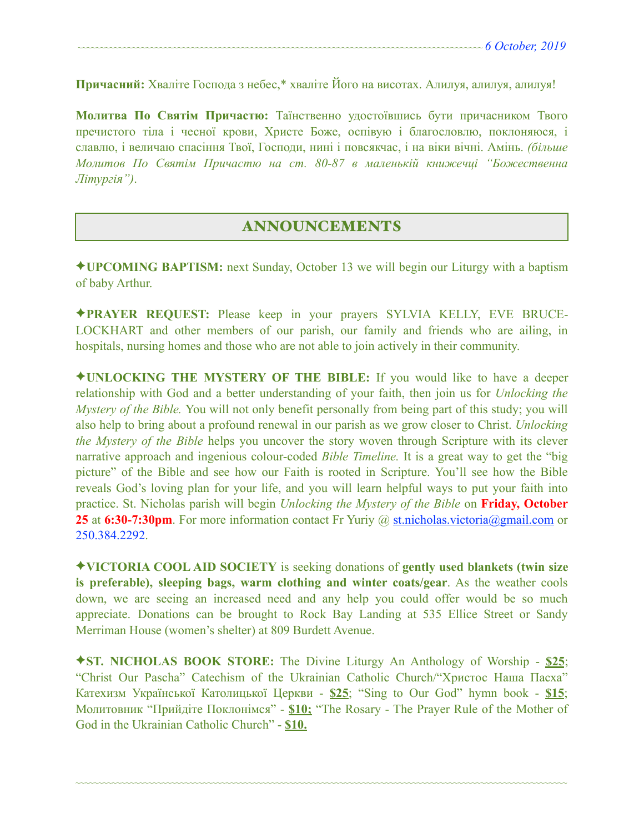**Причасний:** Хваліте Господа з небес,\* хваліте Його на висотах. Алилуя, алилуя, алилуя!

**Молитва По Святім Причастю:** Таїнственно удостоївшись бути причасником Твого пречистого тіла і чесної крови, Христе Боже, оспівую і благословлю, поклоняюся, і славлю, і величаю спасіння Твої, Господи, нині і повсякчас, і на віки вічні. Амінь. *(більше Молитов По Святім Причастю на ст. 80-87 в маленькій книжечці "Божественна Літургія")*.

### ANNOUNCEMENTS

✦**UPCOMING BAPTISM:** next Sunday, October 13 we will begin our Liturgy with a baptism of baby Arthur.

✦**PRAYER REQUEST:** Please keep in your prayers SYLVIA KELLY, EVE BRUCE-LOCKHART and other members of our parish, our family and friends who are ailing, in hospitals, nursing homes and those who are not able to join actively in their community.

✦**UNLOCKING THE MYSTERY OF THE BIBLE:** If you would like to have a deeper relationship with God and a better understanding of your faith, then join us for *Unlocking the Mystery of the Bible.* You will not only benefit personally from being part of this study; you will also help to bring about a profound renewal in our parish as we grow closer to Christ. *Unlocking the Mystery of the Bible* helps you uncover the story woven through Scripture with its clever narrative approach and ingenious colour-coded *Bible Timeline.* It is a great way to get the "big picture" of the Bible and see how our Faith is rooted in Scripture. You'll see how the Bible reveals God's loving plan for your life, and you will learn helpful ways to put your faith into practice. St. Nicholas parish will begin *Unlocking the Mystery of the Bible* on **Friday, October 25** at **6:30-7:30pm**. For more information contact Fr Yuriy @ [st.nicholas.victoria@gmail.com](mailto:st.nicholas.victoria@gmail.com) or 250.384.2292.

✦**VICTORIA COOL AID SOCIETY** is seeking donations of **gently used blankets (twin size is preferable), sleeping bags, warm clothing and winter coats/gear**. As the weather cools down, we are seeing an increased need and any help you could offer would be so much appreciate. Donations can be brought to Rock Bay Landing at 535 Ellice Street or Sandy Merriman House (women's shelter) at 809 Burdett Avenue.

✦**ST. NICHOLAS BOOK STORE:** The Divine Liturgy An Anthology of Worship - **\$25**; "Christ Our Pascha" Catechism of the Ukrainian Catholic Church/"Христос Наша Пасха" Катехизм Української Католицької Церкви - **\$25**; "Sing to Our God" hymn book - **\$15**; Молитовник "Прийдіте Поклонімся" - **\$10;** "The Rosary - The Prayer Rule of the Mother of God in the Ukrainian Catholic Church" - **\$10.**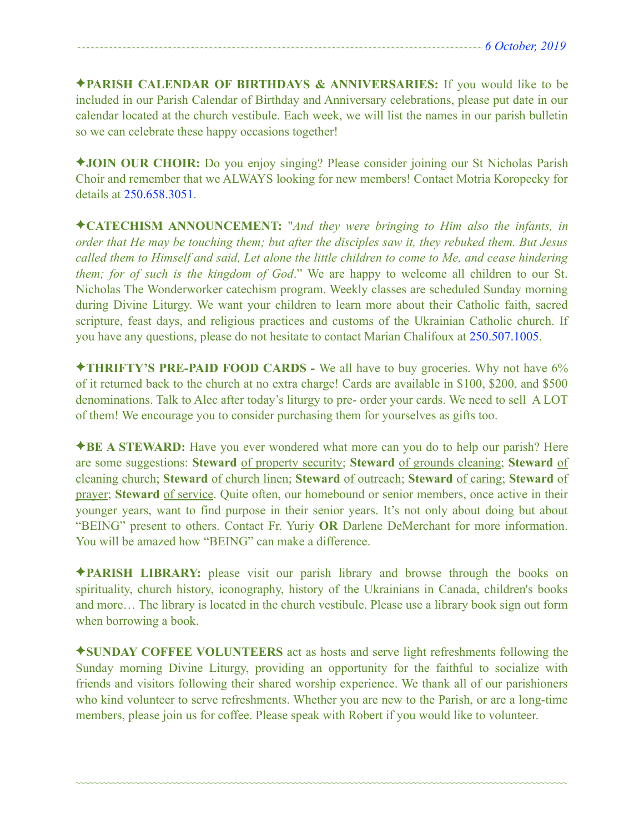✦**PARISH CALENDAR OF BIRTHDAYS & ANNIVERSARIES:** If you would like to be included in our Parish Calendar of Birthday and Anniversary celebrations, please put date in our calendar located at the church vestibule. Each week, we will list the names in our parish bulletin so we can celebrate these happy occasions together!

✦**JOIN OUR CHOIR:** Do you enjoy singing? Please consider joining our St Nicholas Parish Choir and remember that we ALWAYS looking for new members! Contact Motria Koropecky for details at 250.658.3051.

✦**CATECHISM ANNOUNCEMENT:** "*And they were bringing to Him also the infants, in order that He may be touching them; but after the disciples saw it, they rebuked them. But Jesus called them to Himself and said, Let alone the little children to come to Me, and cease hindering them; for of such is the kingdom of God*." We are happy to welcome all children to our St. Nicholas The Wonderworker catechism program. Weekly classes are scheduled Sunday morning during Divine Liturgy. We want your children to learn more about their Catholic faith, sacred scripture, feast days, and religious practices and customs of the Ukrainian Catholic church. If you have any questions, please do not hesitate to contact Marian Chalifoux at 250.507.1005.

✦**THRIFTY'S PRE-PAID FOOD CARDS -** We all have to buy groceries. Why not have 6% of it returned back to the church at no extra charge! Cards are available in \$100, \$200, and \$500 denominations. Talk to Alec after today's liturgy to pre- order your cards. We need to sell A LOT of them! We encourage you to consider purchasing them for yourselves as gifts too.

✦**BE A STEWARD:** Have you ever wondered what more can you do to help our parish? Here are some suggestions: **Steward** of property security; **Steward** of grounds cleaning; **Steward** of cleaning church; **Steward** of church linen; **Steward** of outreach; **Steward** of caring; **Steward** of prayer; **Steward** of service. Quite often, our homebound or senior members, once active in their younger years, want to find purpose in their senior years. It's not only about doing but about "BEING" present to others. Contact Fr. Yuriy **OR** Darlene DeMerchant for more information. You will be amazed how "BEING" can make a difference.

✦**PARISH LIBRARY:** please visit our parish library and browse through the books on spirituality, church history, iconography, history of the Ukrainians in Canada, children's books and more… The library is located in the church vestibule. Please use a library book sign out form when borrowing a book.

✦**SUNDAY COFFEE VOLUNTEERS** act as hosts and serve light refreshments following the Sunday morning Divine Liturgy, providing an opportunity for the faithful to socialize with friends and visitors following their shared worship experience. We thank all of our parishioners who kind volunteer to serve refreshments. Whether you are new to the Parish, or are a long-time members, please join us for coffee. Please speak with Robert if you would like to volunteer.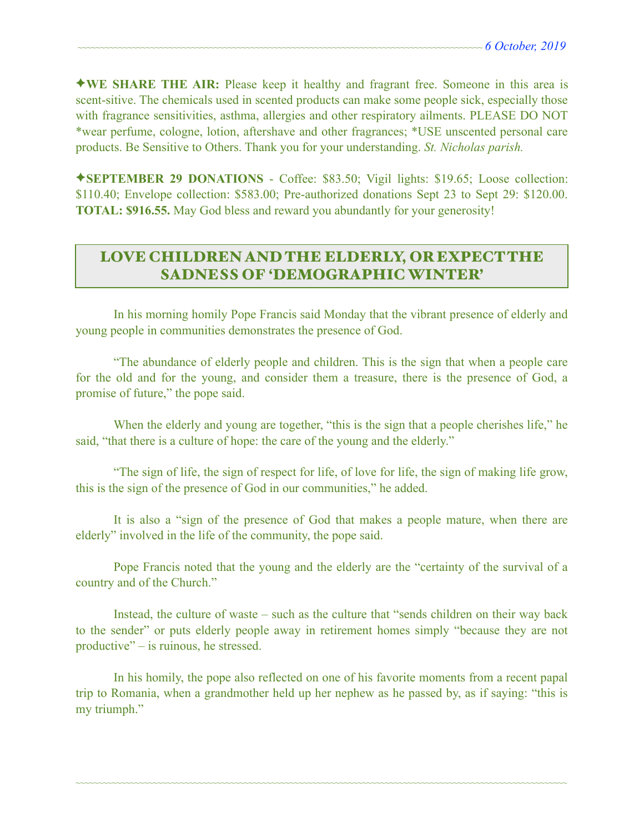✦**WE SHARE THE AIR:** Please keep it healthy and fragrant free. Someone in this area is scent-sitive. The chemicals used in scented products can make some people sick, especially those with fragrance sensitivities, asthma, allergies and other respiratory ailments. PLEASE DO NOT \*wear perfume, cologne, lotion, aftershave and other fragrances; \*USE unscented personal care products. Be Sensitive to Others. Thank you for your understanding. *St. Nicholas parish.* 

✦**SEPTEMBER 29 DONATIONS** - Coffee: \$83.50; Vigil lights: \$19.65; Loose collection: \$110.40; Envelope collection: \$583.00; Pre-authorized donations Sept 23 to Sept 29: \$120.00. **TOTAL: \$916.55.** May God bless and reward you abundantly for your generosity!

# LOVE CHILDREN AND THE ELDERLY, OR EXPECT THE SADNESS OF 'DEMOGRAPHIC WINTER'

 In his morning homily Pope Francis said Monday that the vibrant presence of elderly and young people in communities demonstrates the presence of God.

 "The abundance of elderly people and children. This is the sign that when a people care for the old and for the young, and consider them a treasure, there is the presence of God, a promise of future," the pope said.

When the elderly and young are together, "this is the sign that a people cherishes life," he said, "that there is a culture of hope: the care of the young and the elderly."

 "The sign of life, the sign of respect for life, of love for life, the sign of making life grow, this is the sign of the presence of God in our communities," he added.

 It is also a "sign of the presence of God that makes a people mature, when there are elderly" involved in the life of the community, the pope said.

 Pope Francis noted that the young and the elderly are the "certainty of the survival of a country and of the Church."

 Instead, the culture of waste – such as the culture that "sends children on their way back to the sender" or puts elderly people away in retirement homes simply "because they are not productive" – is ruinous, he stressed.

 In his homily, the pope also reflected on one of his favorite moments from a recent papal trip to Romania, when a grandmother held up her nephew as he passed by, as if saying: "this is my triumph."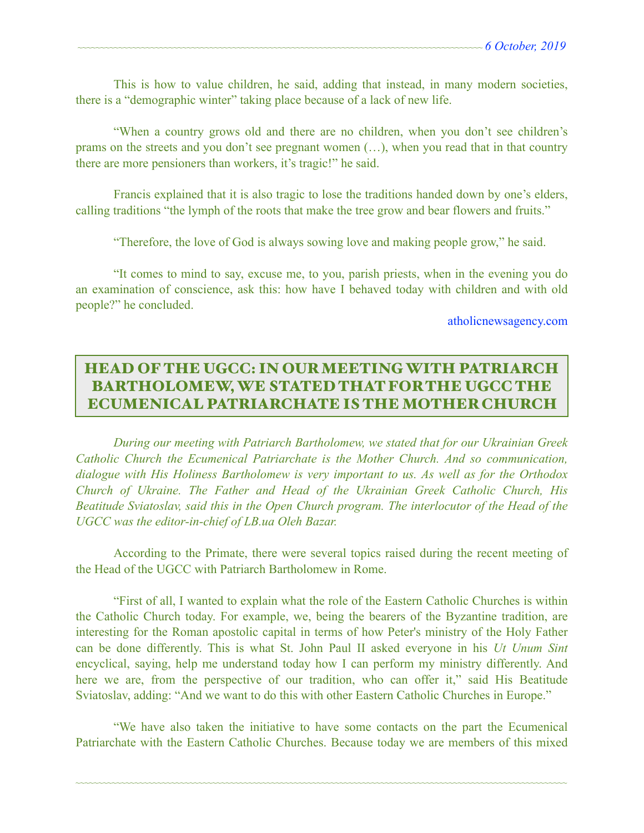This is how to value children, he said, adding that instead, in many modern societies, there is a "demographic winter" taking place because of a lack of new life.

 "When a country grows old and there are no children, when you don't see children's prams on the streets and you don't see pregnant women (…), when you read that in that country there are more pensioners than workers, it's tragic!" he said.

 Francis explained that it is also tragic to lose the traditions handed down by one's elders, calling traditions "the lymph of the roots that make the tree grow and bear flowers and fruits."

"Therefore, the love of God is always sowing love and making people grow," he said.

 "It comes to mind to say, excuse me, to you, parish priests, when in the evening you do an examination of conscience, ask this: how have I behaved today with children and with old people?" he concluded.

[atholicnewsagency.com](http://atholicnewsagency.com) 

# HEAD OF THE UGCC: IN OUR MEETING WITH PATRIARCH BARTHOLOMEW, WE STATED THAT FOR THE UGCC THE ECUMENICAL PATRIARCHATE IS THE MOTHER CHURCH

 *During our meeting with Patriarch Bartholomew, we stated that for our Ukrainian Greek Catholic Church the Ecumenical Patriarchate is the Mother Church. And so communication, dialogue with His Holiness Bartholomew is very important to us. As well as for the Orthodox Church of Ukraine. The Father and Head of the Ukrainian Greek Catholic Church, His Beatitude Sviatoslav, said this in the Open Church program. The interlocutor of the Head of the UGCC was the editor-in-chief of LB.ua Oleh Bazar.* 

 According to the Primate, there were several topics raised during the recent meeting of the Head of the UGCC with Patriarch Bartholomew in Rome.

 "First of all, I wanted to explain what the role of the Eastern Catholic Churches is within the Catholic Church today. For example, we, being the bearers of the Byzantine tradition, are interesting for the Roman apostolic capital in terms of how Peter's ministry of the Holy Father can be done differently. This is what St. John Paul II asked everyone in his *Ut Unum Sint* encyclical, saying, help me understand today how I can perform my ministry differently. And here we are, from the perspective of our tradition, who can offer it," said His Beatitude Sviatoslav, adding: "And we want to do this with other Eastern Catholic Churches in Europe."

 "We have also taken the initiative to have some contacts on the part the Ecumenical Patriarchate with the Eastern Catholic Churches. Because today we are members of this mixed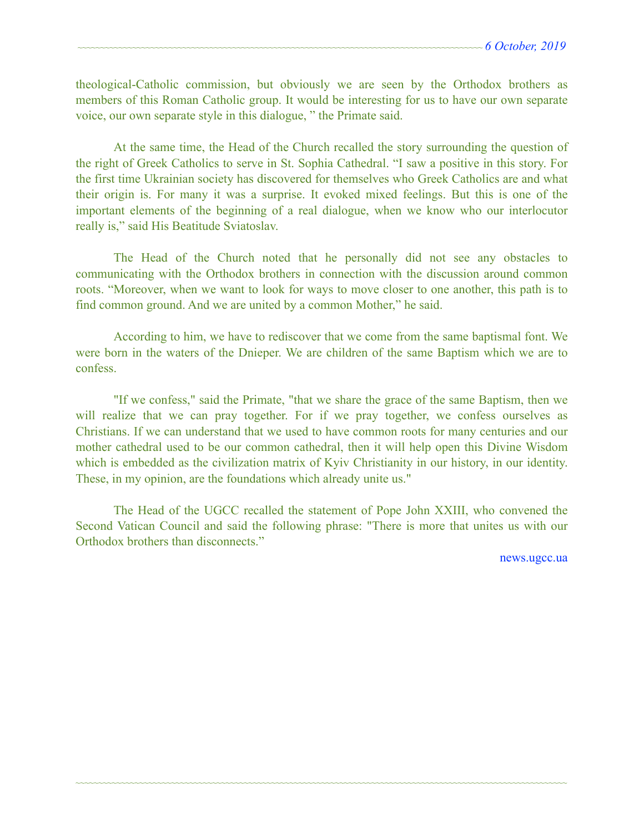theological-Catholic commission, but obviously we are seen by the Orthodox brothers as members of this Roman Catholic group. It would be interesting for us to have our own separate voice, our own separate style in this dialogue, " the Primate said.

 At the same time, the Head of the Church recalled the story surrounding the question of the right of Greek Catholics to serve in St. Sophia Cathedral. "I saw a positive in this story. For the first time Ukrainian society has discovered for themselves who Greek Catholics are and what their origin is. For many it was a surprise. It evoked mixed feelings. But this is one of the important elements of the beginning of a real dialogue, when we know who our interlocutor really is," said His Beatitude Sviatoslav.

 The Head of the Church noted that he personally did not see any obstacles to communicating with the Orthodox brothers in connection with the discussion around common roots. "Moreover, when we want to look for ways to move closer to one another, this path is to find common ground. And we are united by a common Mother," he said.

 According to him, we have to rediscover that we come from the same baptismal font. We were born in the waters of the Dnieper. We are children of the same Baptism which we are to confess.

 "If we confess," said the Primate, "that we share the grace of the same Baptism, then we will realize that we can pray together. For if we pray together, we confess ourselves as Christians. If we can understand that we used to have common roots for many centuries and our mother cathedral used to be our common cathedral, then it will help open this Divine Wisdom which is embedded as the civilization matrix of Kyiv Christianity in our history, in our identity. These, in my opinion, are the foundations which already unite us."

 The Head of the UGCC recalled the statement of Pope John XXIII, who convened the Second Vatican Council and said the following phrase: "There is more that unites us with our Orthodox brothers than disconnects."

~~~~~~~~~~~~~~~~~~~~~~~~~~~~~~~~~~~~~~~~~~~~~~~~~~~~~~~~~~~~~~~~~~~~~~~~~~~~~~~~~~~~~~~~~~~~~~~~~~~~~~~~~~~~

[news.ugcc.ua](http://news.ugcc.ua)